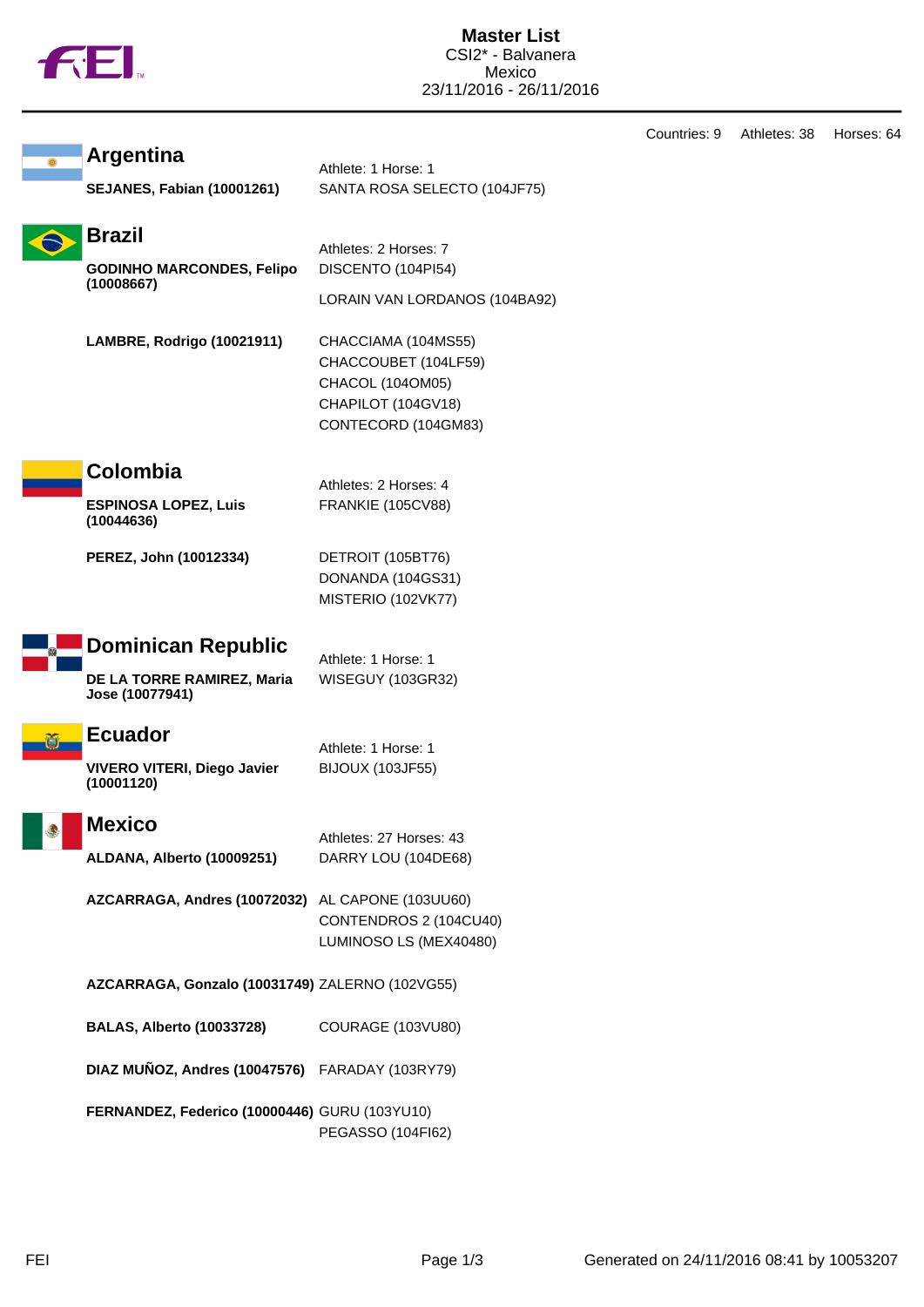|  | N |
|--|---|
|  |   |

|                                                  |                                           | Countries: 9 | Athletes: 38 | Horses: 64 |
|--------------------------------------------------|-------------------------------------------|--------------|--------------|------------|
| <b>Argentina</b>                                 | Athlete: 1 Horse: 1                       |              |              |            |
| <b>SEJANES, Fabian (10001261)</b>                | SANTA ROSA SELECTO (104JF75)              |              |              |            |
| <b>Brazil</b>                                    | Athletes: 2 Horses: 7                     |              |              |            |
| <b>GODINHO MARCONDES, Felipo</b>                 | DISCENTO (104PI54)                        |              |              |            |
| (10008667)                                       | LORAIN VAN LORDANOS (104BA92)             |              |              |            |
| LAMBRE, Rodrigo (10021911)                       | CHACCIAMA (104MS55)                       |              |              |            |
|                                                  | CHACCOUBET (104LF59)                      |              |              |            |
|                                                  | CHACOL (104OM05)                          |              |              |            |
|                                                  | CHAPILOT (104GV18)<br>CONTECORD (104GM83) |              |              |            |
|                                                  |                                           |              |              |            |
| Colombia                                         | Athletes: 2 Horses: 4                     |              |              |            |
| <b>ESPINOSA LOPEZ, Luis</b><br>(10044636)        | <b>FRANKIE (105CV88)</b>                  |              |              |            |
| PEREZ, John (10012334)                           | DETROIT (105BT76)                         |              |              |            |
|                                                  | DONANDA (104GS31)                         |              |              |            |
|                                                  | MISTERIO (102VK77)                        |              |              |            |
| <b>Dominican Republic</b>                        | Athlete: 1 Horse: 1                       |              |              |            |
| DE LA TORRE RAMIREZ, Maria                       | WISEGUY (103GR32)                         |              |              |            |
| Jose (10077941)                                  |                                           |              |              |            |
| <b>Ecuador</b>                                   | Athlete: 1 Horse: 1                       |              |              |            |
| <b>VIVERO VITERI, Diego Javier</b>               | <b>BIJOUX (103JF55)</b>                   |              |              |            |
| (10001120)                                       |                                           |              |              |            |
| <b>Mexico</b>                                    | Athletes: 27 Horses: 43                   |              |              |            |
| ALDANA, Alberto (10009251)                       | DARRY LOU (104DE68)                       |              |              |            |
| AZCARRAGA, Andres (10072032) AL CAPONE (103UU60) |                                           |              |              |            |
|                                                  | CONTENDROS 2 (104CU40)                    |              |              |            |
|                                                  | LUMINOSO LS (MEX40480)                    |              |              |            |
| AZCARRAGA, Gonzalo (10031749) ZALERNO (102VG55)  |                                           |              |              |            |
| <b>BALAS, Alberto (10033728)</b>                 | COURAGE (103VU80)                         |              |              |            |
| DIAZ MUÑOZ, Andres (10047576) FARADAY (103RY79)  |                                           |              |              |            |
| FERNANDEZ, Federico (10000446) GURU (103YU10)    |                                           |              |              |            |
|                                                  | PEGASSO (104FI62)                         |              |              |            |
|                                                  |                                           |              |              |            |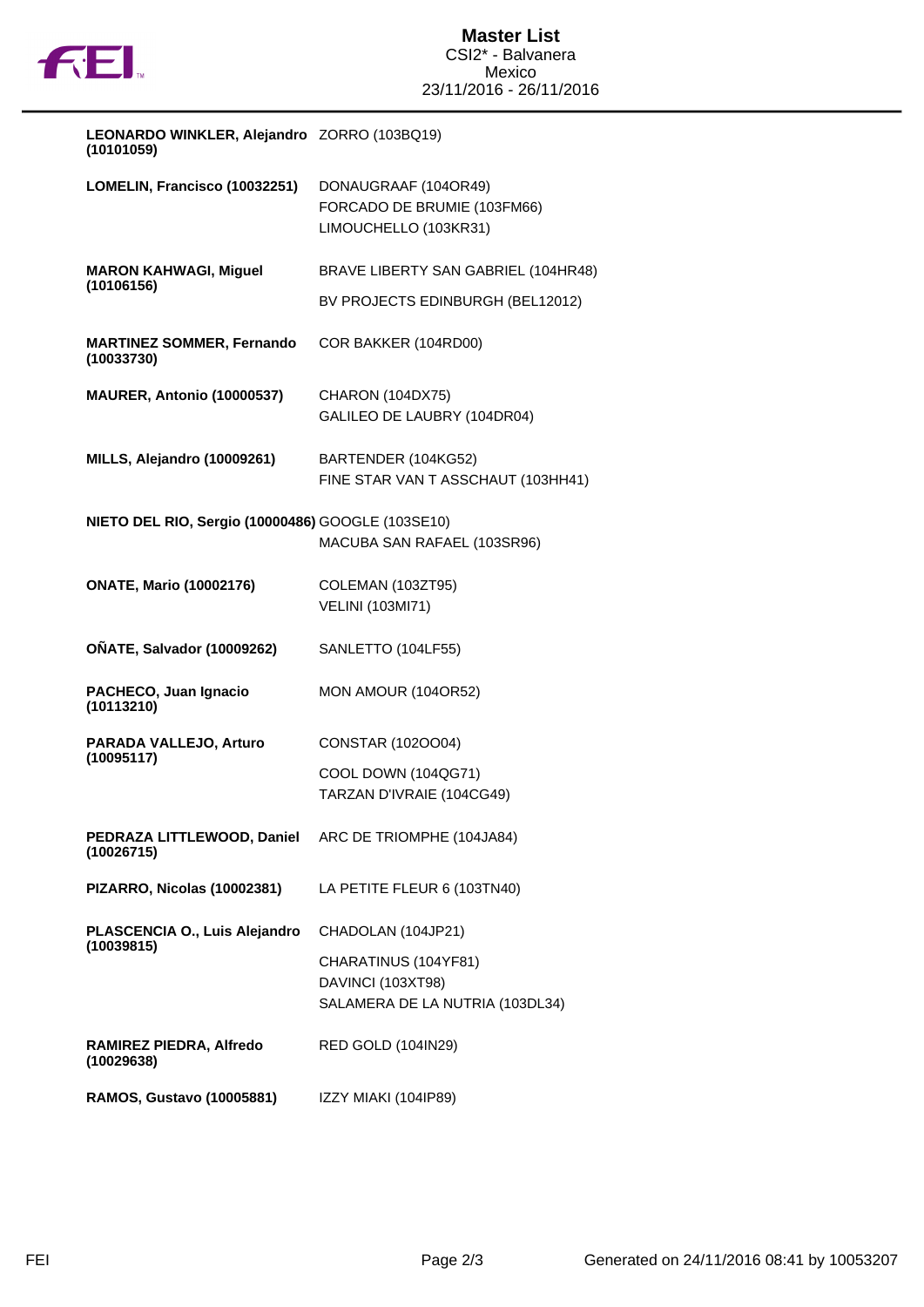

| LEONARDO WINKLER, Alejandro ZORRO (103BQ19)<br>(10101059) |                                                                              |
|-----------------------------------------------------------|------------------------------------------------------------------------------|
| LOMELIN, Francisco (10032251)                             | DONAUGRAAF (104OR49)<br>FORCADO DE BRUMIE (103FM66)<br>LIMOUCHELLO (103KR31) |
| <b>MARON KAHWAGI, Miguel</b>                              | BRAVE LIBERTY SAN GABRIEL (104HR48)                                          |
| (10106156)                                                | BV PROJECTS EDINBURGH (BEL12012)                                             |
| <b>MARTINEZ SOMMER, Fernando</b><br>(10033730)            | COR BAKKER (104RD00)                                                         |
| MAURER, Antonio (10000537)                                | <b>CHARON (104DX75)</b><br>GALILEO DE LAUBRY (104DR04)                       |
| MILLS, Alejandro (10009261)                               | BARTENDER (104KG52)<br>FINE STAR VAN T ASSCHAUT (103HH41)                    |
| NIETO DEL RIO, Sergio (10000486) GOOGLE (103SE10)         | MACUBA SAN RAFAEL (103SR96)                                                  |
| <b>ONATE, Mario (10002176)</b>                            | COLEMAN (103ZT95)<br><b>VELINI (103MI71)</b>                                 |
| <b>OÑATE, Salvador (10009262)</b>                         | SANLETTO (104LF55)                                                           |
| PACHECO, Juan Ignacio<br>(10113210)                       | MON AMOUR (104OR52)                                                          |
| PARADA VALLEJO, Arturo<br>(10095117)                      | CONSTAR (102OO04)                                                            |
|                                                           | COOL DOWN (104QG71)<br>TARZAN D'IVRAIE (104CG49)                             |
| PEDRAZA LITTLEWOOD, Daniel<br>(10026715)                  | ARC DE TRIOMPHE (104JA84)                                                    |
| PIZARRO, Nicolas (10002381)                               | LA PETITE FLEUR 6 (103TN40)                                                  |
| PLASCENCIA O., Luis Alejandro<br>(10039815)               | CHADOLAN (104JP21)                                                           |
|                                                           | CHARATINUS (104YF81)<br>DAVINCI (103XT98)<br>SALAMERA DE LA NUTRIA (103DL34) |
|                                                           |                                                                              |
| RAMIREZ PIEDRA, Alfredo<br>(10029638)                     | <b>RED GOLD (104IN29)</b>                                                    |
| <b>RAMOS, Gustavo (10005881)</b>                          | IZZY MIAKI (104IP89)                                                         |